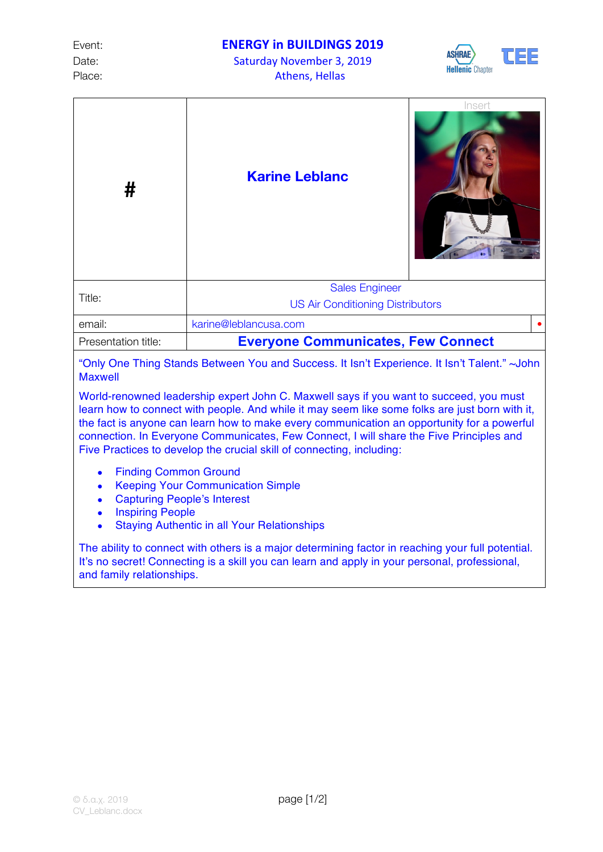Event: **ENERGY** in BUILDINGS 2019

Date: Saturday November 3, 2019 Place: Place: Athens, Hellas



| #                   | <b>Karine Leblanc</b>                     | Insert |  |
|---------------------|-------------------------------------------|--------|--|
| Title:              | <b>Sales Engineer</b>                     |        |  |
|                     | <b>US Air Conditioning Distributors</b>   |        |  |
| email:              | karine@leblancusa.com                     |        |  |
| Presentation title: | <b>Everyone Communicates, Few Connect</b> |        |  |
|                     |                                           |        |  |

"Only One Thing Stands Between You and Success. It Isn't Experience. It Isn't Talent." ~John Maxwell

World-renowned leadership expert John C. Maxwell says if you want to succeed, you must learn how to connect with people. And while it may seem like some folks are just born with it, the fact is anyone can learn how to make every communication an opportunity for a powerful connection. In Everyone Communicates, Few Connect, I will share the Five Principles and Five Practices to develop the crucial skill of connecting, including:

- Finding Common Ground
- Keeping Your Communication Simple
- Capturing People's Interest
- Inspiring People
- Staying Authentic in all Your Relationships

The ability to connect with others is a major determining factor in reaching your full potential. It's no secret! Connecting is a skill you can learn and apply in your personal, professional, and family relationships.